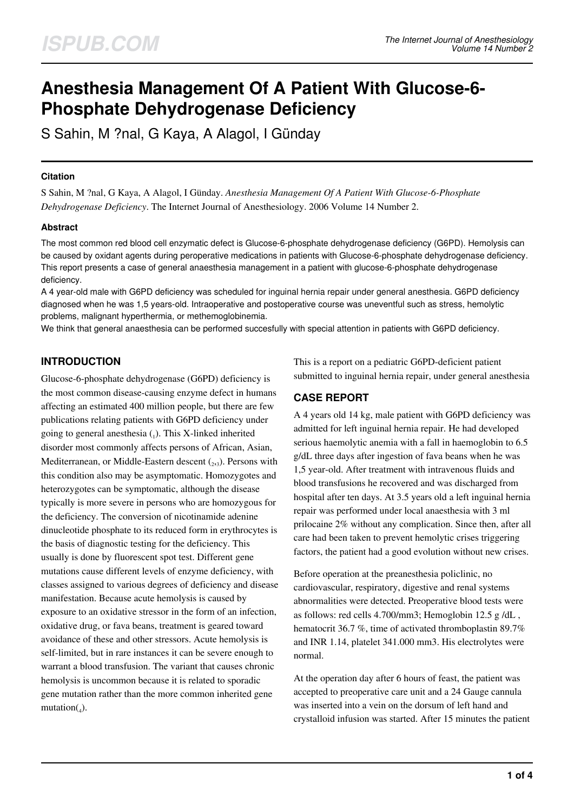# **Anesthesia Management Of A Patient With Glucose-6- Phosphate Dehydrogenase Deficiency**

S Sahin, M ?nal, G Kaya, A Alagol, I Günday

## **Citation**

S Sahin, M ?nal, G Kaya, A Alagol, I Günday. *Anesthesia Management Of A Patient With Glucose-6-Phosphate Dehydrogenase Deficiency*. The Internet Journal of Anesthesiology. 2006 Volume 14 Number 2.

## **Abstract**

The most common red blood cell enzymatic defect is Glucose-6-phosphate dehydrogenase deficiency (G6PD). Hemolysis can be caused by oxidant agents during peroperative medications in patients with Glucose-6-phosphate dehydrogenase deficiency. This report presents a case of general anaesthesia management in a patient with glucose-6-phosphate dehydrogenase deficiency.

A 4 year-old male with G6PD deficiency was scheduled for inguinal hernia repair under general anesthesia. G6PD deficiency diagnosed when he was 1,5 years-old. Intraoperative and postoperative course was uneventful such as stress, hemolytic problems, malignant hyperthermia, or methemoglobinemia.

We think that general anaesthesia can be performed succesfully with special attention in patients with G6PD deficiency.

# **INTRODUCTION**

Glucose-6-phosphate dehydrogenase (G6PD) deficiency is the most common disease-causing enzyme defect in humans affecting an estimated 400 million people, but there are few publications relating patients with G6PD deficiency under going to general anesthesia  $_{(1)}$ . This X-linked inherited disorder most commonly affects persons of African, Asian, Mediterranean, or Middle-Eastern descent  $(_{2,3})$ . Persons with this condition also may be asymptomatic. Homozygotes and heterozygotes can be symptomatic, although the disease typically is more severe in persons who are homozygous for the deficiency. The conversion of nicotinamide adenine dinucleotide phosphate to its reduced form in erythrocytes is the basis of diagnostic testing for the deficiency. This usually is done by fluorescent spot test. Different gene mutations cause different levels of enzyme deficiency, with classes assigned to various degrees of deficiency and disease manifestation. Because acute hemolysis is caused by exposure to an oxidative stressor in the form of an infection, oxidative drug, or fava beans, treatment is geared toward avoidance of these and other stressors. Acute hemolysis is self-limited, but in rare instances it can be severe enough to warrant a blood transfusion. The variant that causes chronic hemolysis is uncommon because it is related to sporadic gene mutation rather than the more common inherited gene  $mutation(_4)$ .

This is a report on a pediatric G6PD-deficient patient submitted to inguinal hernia repair, under general anesthesia

# **CASE REPORT**

A 4 years old 14 kg, male patient with G6PD deficiency was admitted for left inguinal hernia repair. He had developed serious haemolytic anemia with a fall in haemoglobin to 6.5 g/dL three days after ingestion of fava beans when he was 1,5 year-old. After treatment with intravenous fluids and blood transfusions he recovered and was discharged from hospital after ten days. At 3.5 years old a left inguinal hernia repair was performed under local anaesthesia with 3 ml prilocaine 2% without any complication. Since then, after all care had been taken to prevent hemolytic crises triggering factors, the patient had a good evolution without new crises.

Before operation at the preanesthesia policlinic, no cardiovascular, respiratory, digestive and renal systems abnormalities were detected. Preoperative blood tests were as follows: red cells 4.700/mm3; Hemoglobin 12.5 g /dL , hematocrit 36.7 %, time of activated thromboplastin 89.7% and INR 1.14, platelet 341.000 mm3. His electrolytes were normal.

At the operation day after 6 hours of feast, the patient was accepted to preoperative care unit and a 24 Gauge cannula was inserted into a vein on the dorsum of left hand and crystalloid infusion was started. After 15 minutes the patient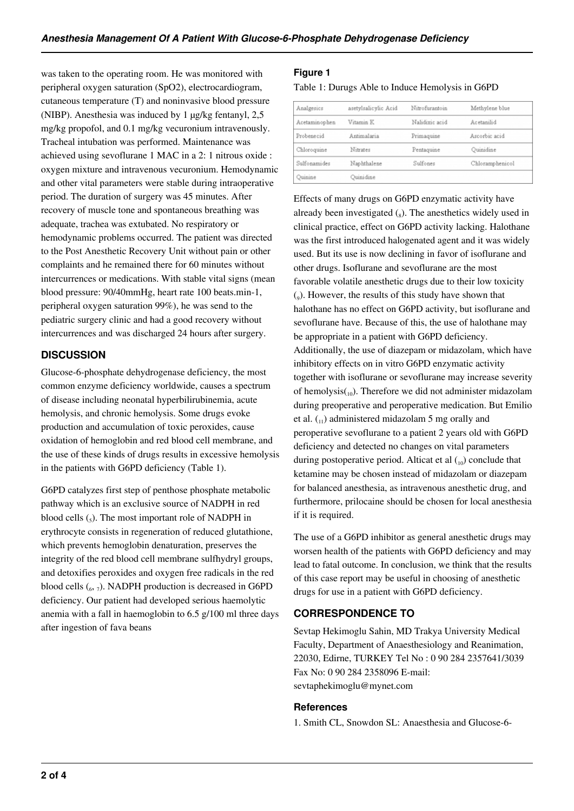was taken to the operating room. He was monitored with peripheral oxygen saturation (SpO2), electrocardiogram, cutaneous temperature (T) and noninvasive blood pressure (NIBP). Anesthesia was induced by 1 µg/kg fentanyl, 2,5 mg/kg propofol, and 0.1 mg/kg vecuronium intravenously. Tracheal intubation was performed. Maintenance was achieved using sevoflurane 1 MAC in a 2: 1 nitrous oxide : oxygen mixture and intravenous vecuronium. Hemodynamic and other vital parameters were stable during intraoperative period. The duration of surgery was 45 minutes. After recovery of muscle tone and spontaneous breathing was adequate, trachea was extubated. No respiratory or hemodynamic problems occurred. The patient was directed to the Post Anesthetic Recovery Unit without pain or other complaints and he remained there for 60 minutes without intercurrences or medications. With stable vital signs (mean blood pressure: 90/40mmHg, heart rate 100 beats.min-1, peripheral oxygen saturation 99%), he was send to the pediatric surgery clinic and had a good recovery without intercurrences and was discharged 24 hours after surgery.

# **DISCUSSION**

Glucose-6-phosphate dehydrogenase deficiency, the most common enzyme deficiency worldwide, causes a spectrum of disease including neonatal hyperbilirubinemia, acute hemolysis, and chronic hemolysis. Some drugs evoke production and accumulation of toxic peroxides, cause oxidation of hemoglobin and red blood cell membrane, and the use of these kinds of drugs results in excessive hemolysis in the patients with G6PD deficiency (Table 1).

G6PD catalyzes first step of penthose phosphate metabolic pathway which is an exclusive source of NADPH in red blood cells  $(_{5})$ . The most important role of NADPH in erythrocyte consists in regeneration of reduced glutathione, which prevents hemoglobin denaturation, preserves the integrity of the red blood cell membrane sulfhydryl groups, and detoxifies peroxides and oxygen free radicals in the red blood cells  $\binom{6}{6}$ ,  $\frac{7}{2}$ . NADPH production is decreased in G6PD deficiency. Our patient had developed serious haemolytic anemia with a fall in haemoglobin to 6.5 g/100 ml three days after ingestion of fava beans

## **Figure 1**

Table 1: Durugs Able to Induce Hemolysis in G6PD

| Analgesics    | asetylsalicylic Acid | Nitrofurantoin | Methylene blue  |
|---------------|----------------------|----------------|-----------------|
| Acetaminophen | Vitamin K            | Nalidixic acid | Acetanilid      |
| Probenecid    | Antimalaria          | Primaguine     | Ascorbic acid   |
| Chloroquine   | Nitrates             | Pentaquine     | Quinidine       |
| Sulfonamides  | Naphthalene          | Sulfones       | Chloramphenicol |
| Quinine       | Quinidine            |                |                 |

Effects of many drugs on G6PD enzymatic activity have already been investigated  $_s$ ). The anesthetics widely used in clinical practice, effect on G6PD activity lacking. Halothane was the first introduced halogenated agent and it was widely used. But its use is now declining in favor of isoflurane and other drugs. Isoflurane and sevoflurane are the most favorable volatile anesthetic drugs due to their low toxicity (9 ). However, the results of this study have shown that halothane has no effect on G6PD activity, but isoflurane and sevoflurane have. Because of this, the use of halothane may be appropriate in a patient with G6PD deficiency. Additionally, the use of diazepam or midazolam, which have inhibitory effects on in vitro G6PD enzymatic activity together with isoflurane or sevoflurane may increase severity of hemolysis $_{(10)}$ . Therefore we did not administer midazolam during preoperative and peroperative medication. But Emilio et al.  $\binom{n}{k}$  administered midazolam 5 mg orally and peroperative sevoflurane to a patient 2 years old with G6PD deficiency and detected no changes on vital parameters during postoperative period. Alticat et al  $_{10}$  conclude that ketamine may be chosen instead of midazolam or diazepam for balanced anesthesia, as intravenous anesthetic drug, and furthermore, prilocaine should be chosen for local anesthesia if it is required.

The use of a G6PD inhibitor as general anesthetic drugs may worsen health of the patients with G6PD deficiency and may lead to fatal outcome. In conclusion, we think that the results of this case report may be useful in choosing of anesthetic drugs for use in a patient with G6PD deficiency.

# **CORRESPONDENCE TO**

Sevtap Hekimoglu Sahin, MD Trakya University Medical Faculty, Department of Anaesthesiology and Reanimation, 22030, Edirne, TURKEY Tel No : 0 90 284 2357641/3039 Fax No: 0 90 284 2358096 E-mail: sevtaphekimoglu@mynet.com

## **References**

1. Smith CL, Snowdon SL: Anaesthesia and Glucose-6-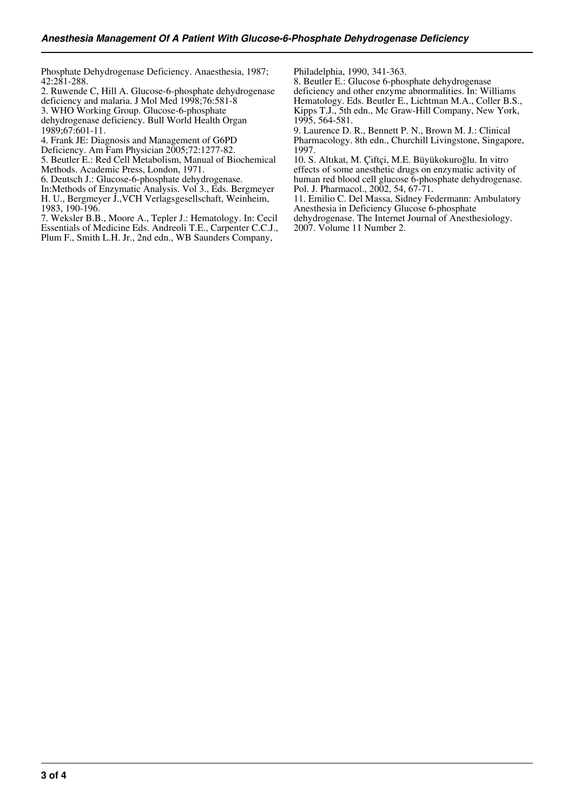Phosphate Dehydrogenase Deficiency. Anaesthesia, 1987; 42:281-288.

2. Ruwende C, Hill A. Glucose-6-phosphate dehydrogenase deficiency and malaria. J Mol Med 1998;76:581-8

3. WHO Working Group. Glucose-6-phosphate

dehydrogenase deficiency. Bull World Health Organ 1989;67:601-11.

- 4. Frank JE: Diagnosis and Management of G6PD
- Deficiency. Am Fam Physician 2005;72:1277-82.

5. Beutler E.: Red Cell Metabolism, Manual of Biochemical Methods. Academic Press, London, 1971.

6. Deutsch J.: Glucose-6-phosphate dehydrogenase.

In:Methods of Enzymatic Analysis. Vol 3., Eds. Bergmeyer

H. U., Bergmeyer J.,VCH Verlagsgesellschaft, Weinheim, 1983, 190-196.

7. Weksler B.B., Moore A., Tepler J.: Hematology. In: Cecil Essentials of Medicine Eds. Andreoli T.E., Carpenter C.C.J., Plum F., Smith L.H. Jr., 2nd edn., WB Saunders Company,

Philadelphia, 1990, 341-363.

8. Beutler E.: Glucose 6-phosphate dehydrogenase deficiency and other enzyme abnormalities. In: Williams Hematology. Eds. Beutler E., Lichtman M.A., Coller B.S., Kipps T.J., 5th edn., Mc Graw-Hill Company, New York, 1995, 564-581.

9. Laurence D. R., Bennett P. N., Brown M. J.: Clinical Pharmacology. 8th edn., Churchill Livingstone, Singapore, 1997.

10. S. Altıkat, M. Çiftçi, M.E. Büyükokuroğlu. In vitro effects of some anesthetic drugs on enzymatic activity of human red blood cell glucose 6-phosphate dehydrogenase. Pol. J. Pharmacol., 2002, 54, 67-71.

11. Emilio C. Del Massa, Sidney Federmann: Ambulatory Anesthesia in Deficiency Glucose 6-phosphate

dehydrogenase. The Internet Journal of Anesthesiology.

2007. Volume 11 Number 2.